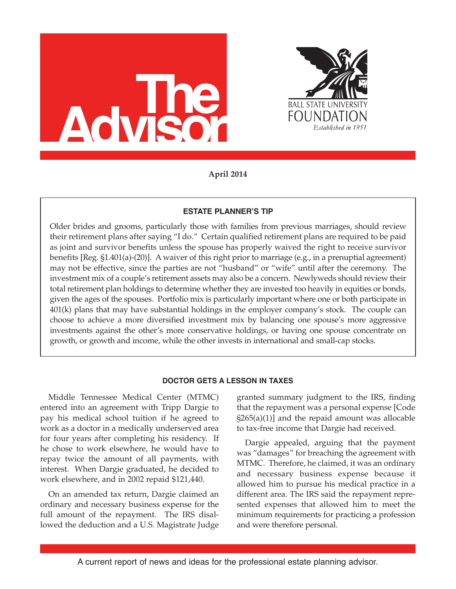



**April 2014**

# **estate PLanner's tiP**

Older brides and grooms, particularly those with families from previous marriages, should review their retirement plans after saying "I do." Certain qualified retirement plans are required to be paid as joint and survivor benefits unless the spouse has properly waived the right to receive survivor benefits [Reg. §1.401(a)-(20)]. A waiver of this right prior to marriage (e.g., in a prenuptial agreement) may not be effective, since the parties are not "husband" or "wife" until after the ceremony. The investment mix of a couple's retirement assets may also be a concern. Newlyweds should review their total retirement plan holdings to determine whether they are invested too heavily in equities or bonds, given the ages of the spouses. Portfolio mix is particularly important where one or both participate in 401(k) plans that may have substantial holdings in the employer company's stock. The couple can choose to achieve a more diversified investment mix by balancing one spouse's more aggressive investments against the other's more conservative holdings, or having one spouse concentrate on growth, or growth and income, while the other invests in international and small-cap stocks.

## **Doctor Gets a Lesson in taxes**

Middle Tennessee Medical Center (MTMC) entered into an agreement with Tripp Dargie to pay his medical school tuition if he agreed to work as a doctor in a medically underserved area for four years after completing his residency. If he chose to work elsewhere, he would have to repay twice the amount of all payments, with interest. When Dargie graduated, he decided to work elsewhere, and in 2002 repaid \$121,440.

On an amended tax return, Dargie claimed an ordinary and necessary business expense for the full amount of the repayment. The IRS disallowed the deduction and a U.S. Magistrate Judge granted summary judgment to the IRS, finding that the repayment was a personal expense [Code §265(a)(1)] and the repaid amount was allocable to tax-free income that Dargie had received.

Dargie appealed, arguing that the payment was "damages" for breaching the agreement with MTMC. Therefore, he claimed, it was an ordinary and necessary business expense because it allowed him to pursue his medical practice in a different area. The IRS said the repayment represented expenses that allowed him to meet the minimum requirements for practicing a profession and were therefore personal.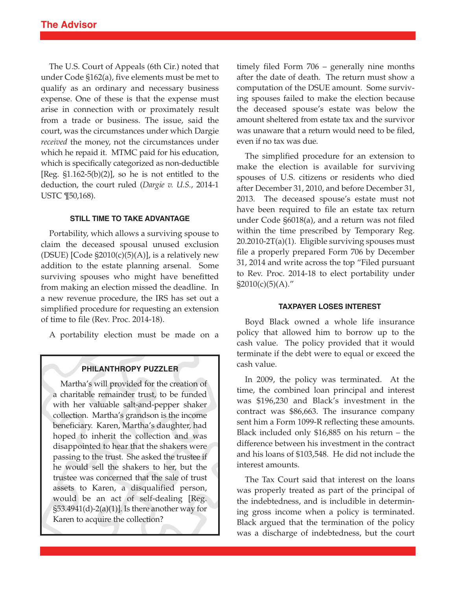The U.S. Court of Appeals (6th Cir.) noted that under Code §162(a), five elements must be met to qualify as an ordinary and necessary business expense. One of these is that the expense must arise in connection with or proximately result from a trade or business. The issue, said the court, was the circumstances under which Dargie *received* the money, not the circumstances under which he repaid it. MTMC paid for his education, which is specifically categorized as non-deductible [Reg.  $\S1.162-5(b)(2)$ ], so he is not entitled to the deduction, the court ruled (*Dargie v. U.S.*, 2014-1 USTC ¶50,168).

## **stiLL tiMe to taKe aDVantaGe**

Portability, which allows a surviving spouse to claim the deceased spousal unused exclusion (DSUE)  $[Code §2010(c)(5)(A)]$ , is a relatively new addition to the estate planning arsenal. Some surviving spouses who might have benefitted from making an election missed the deadline. In a new revenue procedure, the IRS has set out a simplified procedure for requesting an extension of time to file (Rev. Proc. 2014-18).

A portability election must be made on a

### **PHiLantHroPY PUZZLer**

Martha's will provided for the creation of a charitable remainder trust, to be funded with her valuable salt-and-pepper shaker collection. Martha's grandson is the income beneficiary. Karen, Martha's daughter, had hoped to inherit the collection and was disappointed to hear that the shakers were passing to the trust. She asked the trustee if he would sell the shakers to her, but the trustee was concerned that the sale of trust assets to Karen, a disqualified person, would be an act of self-dealing [Reg. §53.4941(d)-2(a)(1)]. Is there another way for Karen to acquire the collection?

timely filed Form 706 – generally nine months after the date of death. The return must show a computation of the DSUE amount. Some surviving spouses failed to make the election because the deceased spouse's estate was below the amount sheltered from estate tax and the survivor was unaware that a return would need to be filed, even if no tax was due.

The simplified procedure for an extension to make the election is available for surviving spouses of U.S. citizens or residents who died after December 31, 2010, and before December 31, 2013. The deceased spouse's estate must not have been required to file an estate tax return under Code §6018(a), and a return was not filed within the time prescribed by Temporary Reg. 20.2010-2T(a)(1). Eligible surviving spouses must file a properly prepared Form 706 by December 31, 2014 and write across the top "Filed pursuant to Rev. Proc. 2014-18 to elect portability under  $$2010(c)(5)(A).''$ 

### **taxPaYer Loses interest**

Boyd Black owned a whole life insurance policy that allowed him to borrow up to the cash value. The policy provided that it would terminate if the debt were to equal or exceed the cash value.

In 2009, the policy was terminated. At the time, the combined loan principal and interest was \$196,230 and Black's investment in the contract was \$86,663. The insurance company sent him a Form 1099-R reflecting these amounts. Black included only \$16,885 on his return – the difference between his investment in the contract and his loans of \$103,548. He did not include the interest amounts.

The Tax Court said that interest on the loans was properly treated as part of the principal of the indebtedness, and is includible in determining gross income when a policy is terminated. Black argued that the termination of the policy was a discharge of indebtedness, but the court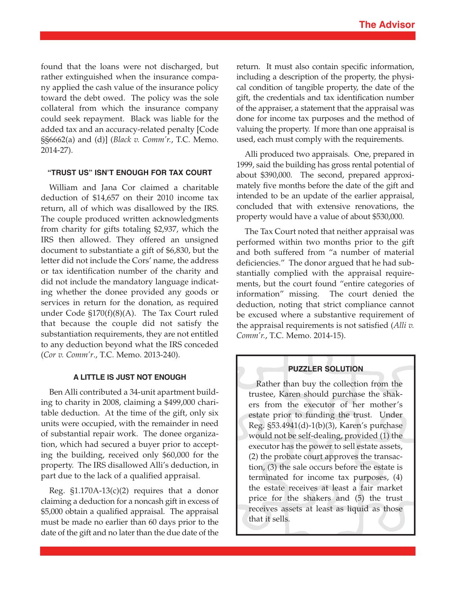found that the loans were not discharged, but rather extinguished when the insurance company applied the cash value of the insurance policy toward the debt owed. The policy was the sole collateral from which the insurance company could seek repayment. Black was liable for the added tax and an accuracy-related penalty [Code §§6662(a) and (d)] (*Black v. Comm'r.*, T.C. Memo. 2014-27).

### **"trUst Us" isn't enoUGH For tax coUrt**

William and Jana Cor claimed a charitable deduction of \$14,657 on their 2010 income tax return, all of which was disallowed by the IRS. The couple produced written acknowledgments from charity for gifts totaling \$2,937, which the IRS then allowed. They offered an unsigned document to substantiate a gift of \$6,830, but the letter did not include the Cors' name, the address or tax identification number of the charity and did not include the mandatory language indicating whether the donee provided any goods or services in return for the donation, as required under Code §170(f)(8)(A). The Tax Court ruled that because the couple did not satisfy the substantiation requirements, they are not entitled to any deduction beyond what the IRS conceded (*Cor v. Comm'r*., T.C. Memo. 2013-240).

#### **a LittLe is JUst not enoUGH**

Ben Alli contributed a 34-unit apartment building to charity in 2008, claiming a \$499,000 charitable deduction. At the time of the gift, only six units were occupied, with the remainder in need of substantial repair work. The donee organization, which had secured a buyer prior to accepting the building, received only \$60,000 for the property. The IRS disallowed Alli's deduction, in part due to the lack of a qualified appraisal.

Reg.  $\S1.170A-13(c)(2)$  requires that a donor claiming a deduction for a noncash gift in excess of \$5,000 obtain a qualified appraisal. The appraisal must be made no earlier than 60 days prior to the date of the gift and no later than the due date of the

return. It must also contain specific information, including a description of the property, the physical condition of tangible property, the date of the gift, the credentials and tax identification number of the appraiser, a statement that the appraisal was done for income tax purposes and the method of valuing the property. If more than one appraisal is used, each must comply with the requirements.

Alli produced two appraisals. One, prepared in 1999, said the building has gross rental potential of about \$390,000. The second, prepared approximately five months before the date of the gift and intended to be an update of the earlier appraisal, concluded that with extensive renovations, the property would have a value of about \$530,000.

The Tax Court noted that neither appraisal was performed within two months prior to the gift and both suffered from "a number of material deficiencies." The donor argued that he had substantially complied with the appraisal requirements, but the court found "entire categories of information" missing. The court denied the deduction, noting that strict compliance cannot be excused where a substantive requirement of the appraisal requirements is not satisfied (*Alli v. Comm'r.*, T.C. Memo. 2014-15).

## **PUZZLer soLUtion**

Rather than buy the collection from the trustee, Karen should purchase the shakers from the executor of her mother's estate prior to funding the trust. Under Reg. §53.4941(d)-1(b)(3), Karen's purchase would not be self-dealing, provided (1) the executor has the power to sell estate assets, (2) the probate court approves the transaction, (3) the sale occurs before the estate is terminated for income tax purposes, (4) the estate receives at least a fair market price for the shakers and (5) the trust receives assets at least as liquid as those that it sells.